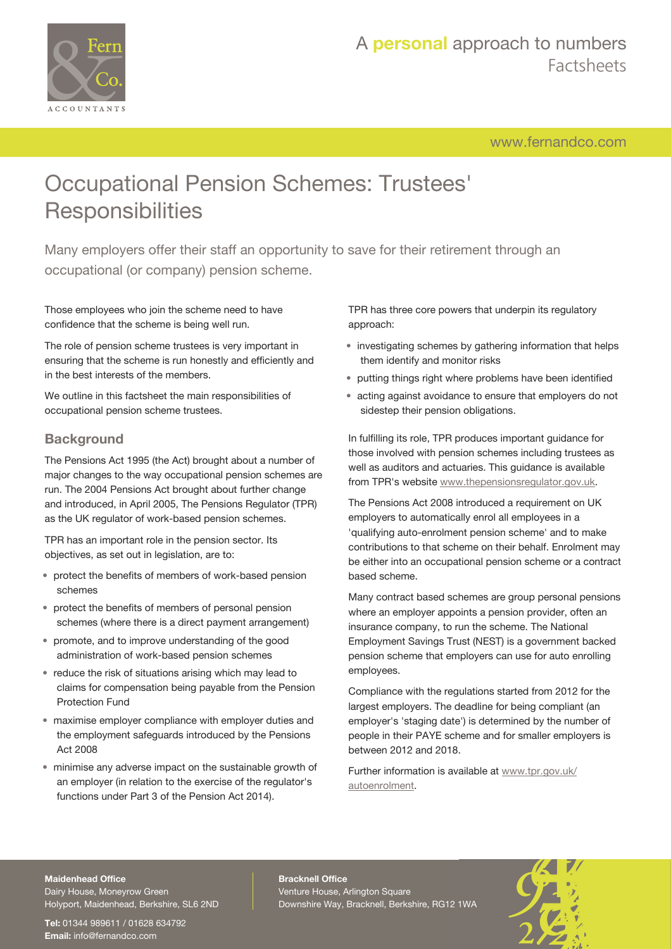

# A **personal** approach to numbers Factsheets

[www.fernandco.com](http://www.fernandco.com)

# Occupational Pension Schemes: Trustees' **Responsibilities**

Many employers offer their staff an opportunity to save for their retirement through an occupational (or company) pension scheme.

Those employees who join the scheme need to have confidence that the scheme is being well run.

The role of pension scheme trustees is very important in ensuring that the scheme is run honestly and efficiently and in the best interests of the members.

We outline in this factsheet the main responsibilities of occupational pension scheme trustees.

### **Background**

The Pensions Act 1995 (the Act) brought about a number of major changes to the way occupational pension schemes are run. The 2004 Pensions Act brought about further change and introduced, in April 2005, The Pensions Regulator (TPR) as the UK regulator of work-based pension schemes.

TPR has an important role in the pension sector. Its objectives, as set out in legislation, are to:

- protect the benefits of members of work-based pension schemes
- protect the benefits of members of personal pension schemes (where there is a direct payment arrangement)
- promote, and to improve understanding of the good administration of work-based pension schemes
- reduce the risk of situations arising which may lead to claims for compensation being payable from the Pension Protection Fund
- maximise employer compliance with employer duties and the employment safeguards introduced by the Pensions Act 2008
- minimise any adverse impact on the sustainable growth of an employer (in relation to the exercise of the regulator's functions under Part 3 of the Pension Act 2014).

TPR has three core powers that underpin its regulatory approach:

- investigating schemes by gathering information that helps them identify and monitor risks
- putting things right where problems have been identified
- acting against avoidance to ensure that employers do not sidestep their pension obligations.

In fulfilling its role, TPR produces important guidance for those involved with pension schemes including trustees as well as auditors and actuaries. This guidance is available from TPR's website [www.thepensionsregulator.gov.uk.](http://www.thepensionsregulator.gov.uk/)

The Pensions Act 2008 introduced a requirement on UK employers to automatically enrol all employees in a 'qualifying auto-enrolment pension scheme' and to make contributions to that scheme on their behalf. Enrolment may be either into an occupational pension scheme or a contract based scheme.

Many contract based schemes are group personal pensions where an employer appoints a pension provider, often an insurance company, to run the scheme. The National Employment Savings Trust (NEST) is a government backed pension scheme that employers can use for auto enrolling employees.

Compliance with the regulations started from 2012 for the largest employers. The deadline for being compliant (an employer's 'staging date') is determined by the number of people in their PAYE scheme and for smaller employers is between 2012 and 2018.

Further information is available at [www.tpr.gov.uk/](http://www.tpr.gov.uk/autoenrolment) [autoenrolment](http://www.tpr.gov.uk/autoenrolment).

#### **Maidenhead Office**

Dairy House, Moneyrow Green Holyport, Maidenhead, Berkshire, SL6 2ND

**Tel:** 01344 989611 / 01628 634792 **Email:** [info@fernandco.com](mailto:info@fernandco.com)

**Bracknell Office** Venture House, Arlington Square Downshire Way, Bracknell, Berkshire, RG12 1WA

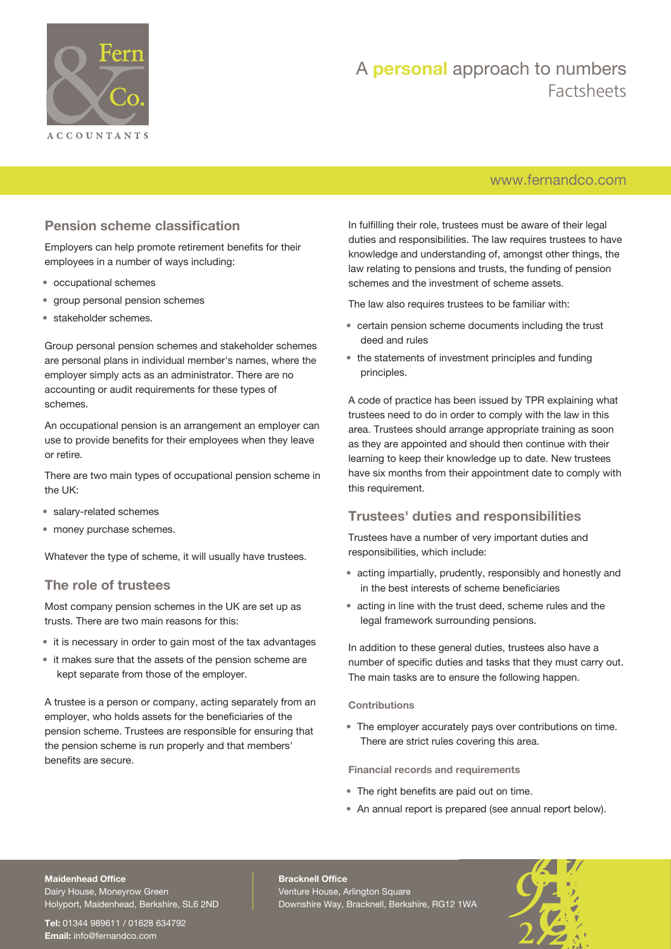

# A **personal** approach to numbers Factsheets

### [www.fernandco.com](http://www.fernandco.com)

### **Pension scheme classification**

Employers can help promote retirement benefits for their employees in a number of ways including:

- occupational schemes
- group personal pension schemes
- stakeholder schemes.

Group personal pension schemes and stakeholder schemes are personal plans in individual member's names, where the employer simply acts as an administrator. There are no accounting or audit requirements for these types of schemes.

An occupational pension is an arrangement an employer can use to provide benefits for their employees when they leave or retire.

There are two main types of occupational pension scheme in the UK:

- salary-related schemes
- money purchase schemes.

Whatever the type of scheme, it will usually have trustees.

### **The role of trustees**

Most company pension schemes in the UK are set up as trusts. There are two main reasons for this:

- it is necessary in order to gain most of the tax advantages
- it makes sure that the assets of the pension scheme are kept separate from those of the employer.

A trustee is a person or company, acting separately from an employer, who holds assets for the beneficiaries of the pension scheme. Trustees are responsible for ensuring that the pension scheme is run properly and that members' benefits are secure.

In fulfilling their role, trustees must be aware of their legal duties and responsibilities. The law requires trustees to have knowledge and understanding of, amongst other things, the law relating to pensions and trusts, the funding of pension schemes and the investment of scheme assets.

The law also requires trustees to be familiar with:

- certain pension scheme documents including the trust deed and rules
- the statements of investment principles and funding principles.

A code of practice has been issued by TPR explaining what trustees need to do in order to comply with the law in this area. Trustees should arrange appropriate training as soon as they are appointed and should then continue with their learning to keep their knowledge up to date. New trustees have six months from their appointment date to comply with this requirement.

### **Trustees' duties and responsibilities**

Trustees have a number of very important duties and responsibilities, which include:

- acting impartially, prudently, responsibly and honestly and in the best interests of scheme beneficiaries
- acting in line with the trust deed, scheme rules and the legal framework surrounding pensions.

In addition to these general duties, trustees also have a number of specific duties and tasks that they must carry out. The main tasks are to ensure the following happen.

### **Contributions**

• The employer accurately pays over contributions on time. There are strict rules covering this area.

**Financial records and requirements**

- The right benefits are paid out on time.
- An annual report is prepared (see annual report below).

### **Maidenhead Office**

Dairy House, Moneyrow Green Holyport, Maidenhead, Berkshire, SL6 2ND

**Tel:** 01344 989611 / 01628 634792 **Email:** [info@fernandco.com](mailto:info@fernandco.com)

**Bracknell Office** Venture House, Arlington Square Downshire Way, Bracknell, Berkshire, RG12 1WA